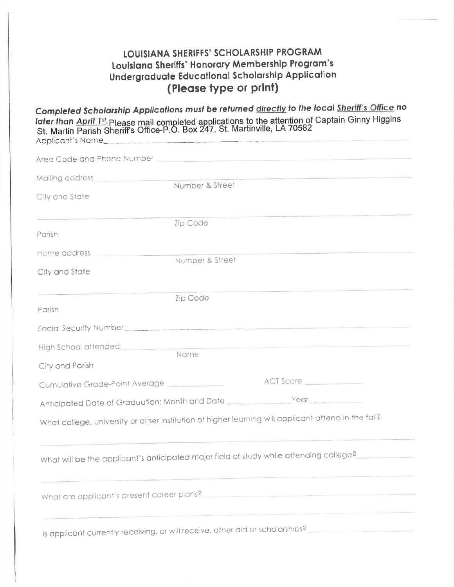## LOUISIANA SHERIFFS' SCHOLARSHIP PROGRAM Louisiana Sheriffs' Honorary Membership Program's Undergraduate Educational Scholarship Application (Please type or print)

Completed Scholarship Applications must be returned directly to the local Sheriff's Office no later than April 1st. Please mail completed applications to the attention of Captain Ginny Higgins<br>St. Martin Parish Sheriff's Office-P.O. Box 247, St. Martinville, LA 70582 Applicant's Name

| Mailing address                                                                                                                                                                                                               | Number & Street |                                                                                                                                                                                                                                |
|-------------------------------------------------------------------------------------------------------------------------------------------------------------------------------------------------------------------------------|-----------------|--------------------------------------------------------------------------------------------------------------------------------------------------------------------------------------------------------------------------------|
| City and State                                                                                                                                                                                                                |                 |                                                                                                                                                                                                                                |
| the control of the control of the control of the control of the control of the control of the control of the control of the control of the control of the control of the control of the control of the control of the control | Zip Code        | the control of the control of the control of the                                                                                                                                                                               |
| Parish                                                                                                                                                                                                                        |                 |                                                                                                                                                                                                                                |
| Home address__________________                                                                                                                                                                                                | Number & Street | <u> 1990 - Andrea Albert III, ann an C</u>                                                                                                                                                                                     |
| City and State                                                                                                                                                                                                                |                 |                                                                                                                                                                                                                                |
|                                                                                                                                                                                                                               | Zip Code        |                                                                                                                                                                                                                                |
| Parish                                                                                                                                                                                                                        |                 |                                                                                                                                                                                                                                |
|                                                                                                                                                                                                                               |                 | Social Security Number Communication of the Communication of the Communication of the Communication of the Communication of the Communication of the Communication of the Communication of the Communication of the Communicat |
| High School attended <b>Allenger Contains the Container</b>                                                                                                                                                                   | <b>Nome</b>     | the control of the control of the control of the control of the control of the control of the control of the control of the control of the control of the control of the control of the control of the control of the control  |
| City and Parish                                                                                                                                                                                                               |                 |                                                                                                                                                                                                                                |
| Cumulative Grade-Point Average                                                                                                                                                                                                |                 | ACT Score                                                                                                                                                                                                                      |
| Anticipated Date of Graduation: Month and Date __________________________________                                                                                                                                             |                 |                                                                                                                                                                                                                                |
|                                                                                                                                                                                                                               |                 | What college, university or other institution of higher learning will applicant attend in the fall?                                                                                                                            |
|                                                                                                                                                                                                                               |                 | What will be the applicant's anticipated major field of study while attending college?                                                                                                                                         |
|                                                                                                                                                                                                                               |                 |                                                                                                                                                                                                                                |
|                                                                                                                                                                                                                               |                 | Is applicant currently receiving, or will receive, other aid or scholarships?                                                                                                                                                  |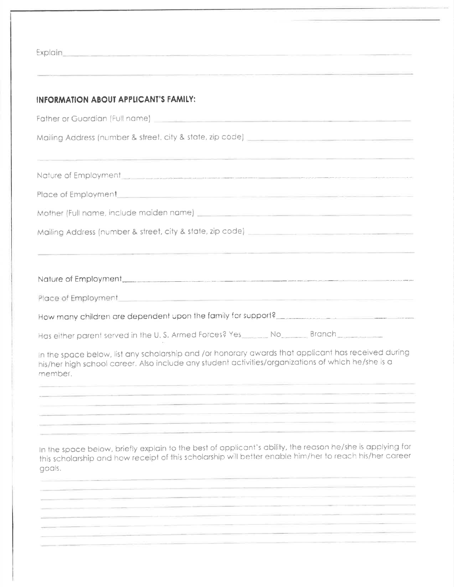| <u> 1989 - Andrea Andrea Andrea Andrea Andrea Andrea Andrea Andrea Andrea Andrea Andrea Andrea Andrea Andrea And</u><br><u> 1989 - Andrea Andrew Stein Andrew Stein Andrew Stein Andrew Stein Andrew Stein Andrew Stein Andrew Stein Andr</u> |                                                                                                                                                                                                                                                                                                                                                                                                                                                                                                                                                                                                                                                                                                                                                                                                                                                                                                                                        |  |
|-----------------------------------------------------------------------------------------------------------------------------------------------------------------------------------------------------------------------------------------------|----------------------------------------------------------------------------------------------------------------------------------------------------------------------------------------------------------------------------------------------------------------------------------------------------------------------------------------------------------------------------------------------------------------------------------------------------------------------------------------------------------------------------------------------------------------------------------------------------------------------------------------------------------------------------------------------------------------------------------------------------------------------------------------------------------------------------------------------------------------------------------------------------------------------------------------|--|
|                                                                                                                                                                                                                                               | Explain <b>Explain</b><br><b>INFORMATION ABOUT APPLICANT'S FAMILY:</b><br>godis.                                                                                                                                                                                                                                                                                                                                                                                                                                                                                                                                                                                                                                                                                                                                                                                                                                                       |  |
|                                                                                                                                                                                                                                               |                                                                                                                                                                                                                                                                                                                                                                                                                                                                                                                                                                                                                                                                                                                                                                                                                                                                                                                                        |  |
|                                                                                                                                                                                                                                               |                                                                                                                                                                                                                                                                                                                                                                                                                                                                                                                                                                                                                                                                                                                                                                                                                                                                                                                                        |  |
|                                                                                                                                                                                                                                               |                                                                                                                                                                                                                                                                                                                                                                                                                                                                                                                                                                                                                                                                                                                                                                                                                                                                                                                                        |  |
|                                                                                                                                                                                                                                               | Nature of Employment and the company of the contract of the contract of the contract of the contract of the contract of the contract of the contract of the contract of the contract of the contract of the contract of the co<br>Place of Employment <b>Executive Contract Contract Contract Contract Contract Contract Contract Contract Contract Contract Contract Contract Contract Contract Contract Contract Contract Contract Contract Contract Contract Co</b><br>Mother (Full name, include maiden name) <b>Service Contract and Contract and Contract and Contract and Contract and Contract and Contract and Contract and Contract and Contract and Contract and Contract and Contract and Cont</b><br>In the space below, briefly explain to the best of applicant's ability, the reason he/she is applying for<br>this scholarship and how receipt of this scholarship will better enable him/her to reach his/her career |  |
|                                                                                                                                                                                                                                               |                                                                                                                                                                                                                                                                                                                                                                                                                                                                                                                                                                                                                                                                                                                                                                                                                                                                                                                                        |  |
|                                                                                                                                                                                                                                               |                                                                                                                                                                                                                                                                                                                                                                                                                                                                                                                                                                                                                                                                                                                                                                                                                                                                                                                                        |  |
|                                                                                                                                                                                                                                               |                                                                                                                                                                                                                                                                                                                                                                                                                                                                                                                                                                                                                                                                                                                                                                                                                                                                                                                                        |  |
|                                                                                                                                                                                                                                               |                                                                                                                                                                                                                                                                                                                                                                                                                                                                                                                                                                                                                                                                                                                                                                                                                                                                                                                                        |  |
|                                                                                                                                                                                                                                               | Nature of Employment<br>How many children are dependent upon the family for support?<br>Has either parent served in the U.S. Armed Forces? Yes _______ No ______ Branch ______<br>in the space below, list any scholarship and /or honorary awards that applicant has received during<br>his/her high school career. Also include any student activities/arganizations of which he/she is a<br>member.                                                                                                                                                                                                                                                                                                                                                                                                                                                                                                                                 |  |
|                                                                                                                                                                                                                                               |                                                                                                                                                                                                                                                                                                                                                                                                                                                                                                                                                                                                                                                                                                                                                                                                                                                                                                                                        |  |
|                                                                                                                                                                                                                                               |                                                                                                                                                                                                                                                                                                                                                                                                                                                                                                                                                                                                                                                                                                                                                                                                                                                                                                                                        |  |
|                                                                                                                                                                                                                                               |                                                                                                                                                                                                                                                                                                                                                                                                                                                                                                                                                                                                                                                                                                                                                                                                                                                                                                                                        |  |
|                                                                                                                                                                                                                                               |                                                                                                                                                                                                                                                                                                                                                                                                                                                                                                                                                                                                                                                                                                                                                                                                                                                                                                                                        |  |
|                                                                                                                                                                                                                                               |                                                                                                                                                                                                                                                                                                                                                                                                                                                                                                                                                                                                                                                                                                                                                                                                                                                                                                                                        |  |
|                                                                                                                                                                                                                                               |                                                                                                                                                                                                                                                                                                                                                                                                                                                                                                                                                                                                                                                                                                                                                                                                                                                                                                                                        |  |
|                                                                                                                                                                                                                                               |                                                                                                                                                                                                                                                                                                                                                                                                                                                                                                                                                                                                                                                                                                                                                                                                                                                                                                                                        |  |
|                                                                                                                                                                                                                                               |                                                                                                                                                                                                                                                                                                                                                                                                                                                                                                                                                                                                                                                                                                                                                                                                                                                                                                                                        |  |
|                                                                                                                                                                                                                                               |                                                                                                                                                                                                                                                                                                                                                                                                                                                                                                                                                                                                                                                                                                                                                                                                                                                                                                                                        |  |
|                                                                                                                                                                                                                                               |                                                                                                                                                                                                                                                                                                                                                                                                                                                                                                                                                                                                                                                                                                                                                                                                                                                                                                                                        |  |
|                                                                                                                                                                                                                                               |                                                                                                                                                                                                                                                                                                                                                                                                                                                                                                                                                                                                                                                                                                                                                                                                                                                                                                                                        |  |
|                                                                                                                                                                                                                                               |                                                                                                                                                                                                                                                                                                                                                                                                                                                                                                                                                                                                                                                                                                                                                                                                                                                                                                                                        |  |